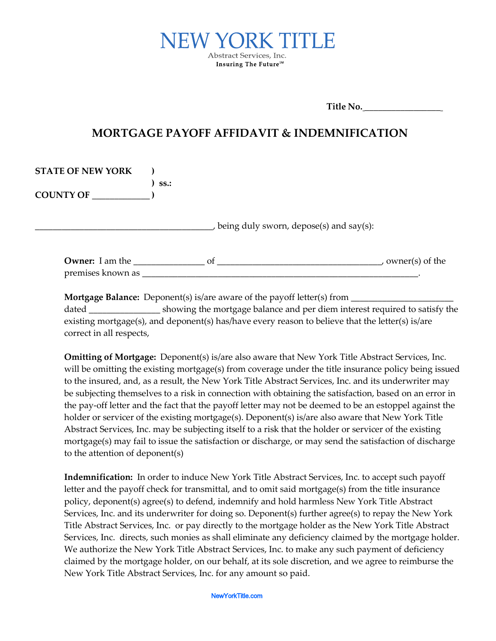

**Title No.** \_\_\_\_\_\_\_\_\_\_\_\_\_\_\_\_\_

## **MORTGAGE PAYOFF AFFIDAVIT & INDEMNIFICATION**

| <b>STATE OF NEW YORK</b> |         |    |                                         |                   |
|--------------------------|---------|----|-----------------------------------------|-------------------|
|                          | $SS.$ : |    |                                         |                   |
| <b>COUNTY OF</b>         |         |    |                                         |                   |
|                          |         |    |                                         |                   |
|                          |         |    |                                         |                   |
|                          |         |    | being duly sworn, depose(s) and say(s): |                   |
|                          |         |    |                                         |                   |
| <b>Owner:</b> I am the   |         | of |                                         | , owner(s) of the |
|                          |         |    |                                         |                   |
| premises known as        |         |    |                                         |                   |

**Mortgage Balance:** Deponent(s) is/are aware of the payoff letter(s) from \_\_\_\_\_\_\_\_ dated \_\_\_\_\_\_\_\_\_\_\_\_\_\_\_\_ showing the mortgage balance and per diem interest required to satisfy the existing mortgage(s), and deponent(s) has/have every reason to believe that the letter(s) is/are correct in all respects,

**Omitting of Mortgage:** Deponent(s) is/are also aware that New York Title Abstract Services, Inc. will be omitting the existing mortgage(s) from coverage under the title insurance policy being issued to the insured, and, as a result, the New York Title Abstract Services, Inc. and its underwriter may be subjecting themselves to a risk in connection with obtaining the satisfaction, based on an error in the pay-off letter and the fact that the payoff letter may not be deemed to be an estoppel against the holder or servicer of the existing mortgage(s). Deponent(s) is/are also aware that New York Title Abstract Services, Inc. may be subjecting itself to a risk that the holder or servicer of the existing mortgage(s) may fail to issue the satisfaction or discharge, or may send the satisfaction of discharge to the attention of deponent(s)

**Indemnification:** In order to induce New York Title Abstract Services, Inc. to accept such payoff letter and the payoff check for transmittal, and to omit said mortgage(s) from the title insurance policy, deponent(s) agree(s) to defend, indemnify and hold harmless New York Title Abstract Services, Inc. and its underwriter for doing so. Deponent(s) further agree(s) to repay the New York Title Abstract Services, Inc. or pay directly to the mortgage holder as the New York Title Abstract Services, Inc. directs, such monies as shall eliminate any deficiency claimed by the mortgage holder. We authorize the New York Title Abstract Services, Inc. to make any such payment of deficiency claimed by the mortgage holder, on our behalf, at its sole discretion, and we agree to reimburse the New York Title Abstract Services, Inc. for any amount so paid.

NewYorkTitle.com